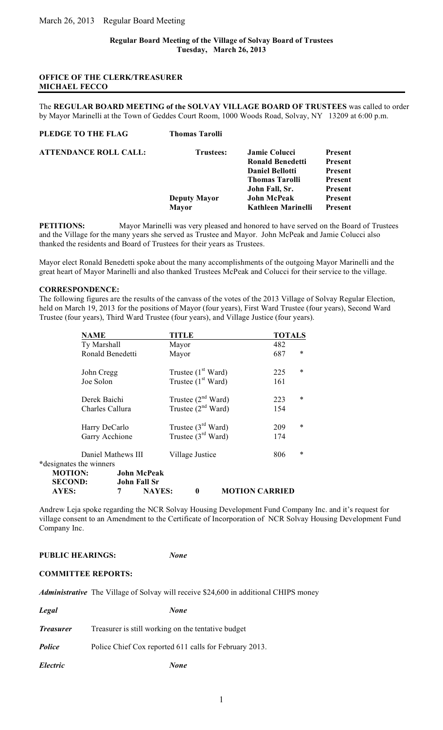# **OFFICE OF THE CLERK/TREASURER MICHAEL FECCO**

The **REGULAR BOARD MEETING of the SOLVAY VILLAGE BOARD OF TRUSTEES** was called to order by Mayor Marinelli at the Town of Geddes Court Room, 1000 Woods Road, Solvay, NY 13209 at 6:00 p.m.

| <b>Thomas Tarolli</b> |                         |                |
|-----------------------|-------------------------|----------------|
| <b>Trustees:</b>      | Jamie Colucci           | <b>Present</b> |
|                       | <b>Ronald Benedetti</b> | <b>Present</b> |
|                       | <b>Daniel Bellotti</b>  | <b>Present</b> |
|                       | <b>Thomas Tarolli</b>   | <b>Present</b> |
|                       | John Fall, Sr.          | <b>Present</b> |
| <b>Deputy Mayor</b>   | <b>John McPeak</b>      | Present        |
| <b>Mayor</b>          | Kathleen Marinelli      | <b>Present</b> |
|                       |                         |                |

**PETITIONS:** Mayor Marinelli was very pleased and honored to have served on the Board of Trustees and the Village for the many years she served as Trustee and Mayor. John McPeak and Jamie Colucci also thanked the residents and Board of Trustees for their years as Trustees.

Mayor elect Ronald Benedetti spoke about the many accomplishments of the outgoing Mayor Marinelli and the great heart of Mayor Marinelli and also thanked Trustees McPeak and Colucci for their service to the village.

#### **CORRESPONDENCE:**

The following figures are the results of the canvass of the votes of the 2013 Village of Solvay Regular Election, held on March 19, 2013 for the positions of Mayor (four years), First Ward Trustee (four years), Second Ward Trustee (four years), Third Ward Trustee (four years), and Village Justice (four years).

|                         | <b>NAME</b>         | <b>TITLE</b>                      | <b>TOTALS</b>         |  |
|-------------------------|---------------------|-----------------------------------|-----------------------|--|
|                         | Ty Marshall         | Mayor                             | 482                   |  |
|                         | Ronald Benedetti    | Mayor                             | ∗<br>687              |  |
|                         | John Cregg          | Trustee $(1st Ward)$              | ∗<br>225              |  |
|                         | Joe Solon           | Trustee $(1st Ward)$              | 161                   |  |
|                         | Derek Baichi        | Trustee $(2^{nd}$ Ward)           | $\ast$<br>223         |  |
|                         | Charles Callura     | Trustee $(2^{nd}$ Ward)           | 154                   |  |
|                         | Harry DeCarlo       | Trustee $(3rd Ward)$              | $\ast$<br>209         |  |
|                         | Garry Acchione      | Trustee $(3rd Ward)$              | 174                   |  |
|                         | Daniel Mathews III  | Village Justice                   | $\ast$<br>806         |  |
| *designates the winners |                     |                                   |                       |  |
| <b>MOTION:</b>          | <b>John McPeak</b>  |                                   |                       |  |
| <b>SECOND:</b>          | <b>John Fall Sr</b> |                                   |                       |  |
| AYES:                   | 7                   | <b>NAYES:</b><br>$\boldsymbol{0}$ | <b>MOTION CARRIED</b> |  |

Andrew Leja spoke regarding the NCR Solvay Housing Development Fund Company Inc. and it's request for village consent to an Amendment to the Certificate of Incorporation of NCR Solvay Housing Development Fund Company Inc.

#### **PUBLIC HEARINGS:** *None*

## **COMMITTEE REPORTS:**

*Administrative* The Village of Solvay will receive \$24,600 in additional CHIPS money

*Legal None* 

| <i><b>Treasurer</b></i> | Treasurer is still working on the tentative budget |
|-------------------------|----------------------------------------------------|
|-------------------------|----------------------------------------------------|

*Police* Police Chief Cox reported 611 calls for February 2013.

*Electric None*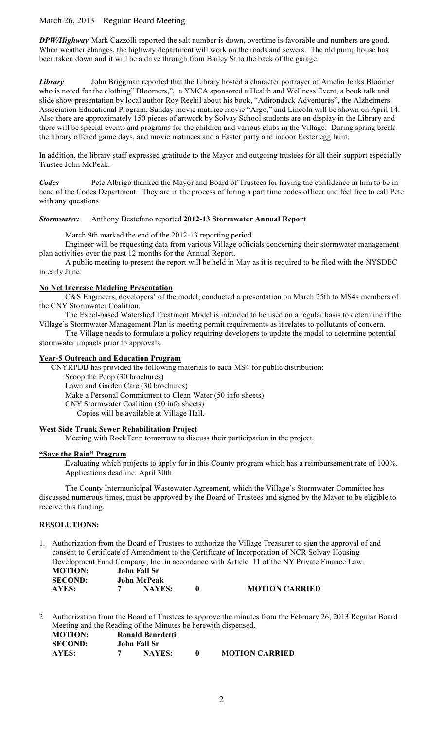# March 26, 2013 Regular Board Meeting

*DPW/Highway* Mark Cazzolli reported the salt number is down, overtime is favorable and numbers are good. When weather changes, the highway department will work on the roads and sewers. The old pump house has been taken down and it will be a drive through from Bailey St to the back of the garage.

*Library* John Briggman reported that the Library hosted a character portrayer of Amelia Jenks Bloomer who is noted for the clothing" Bloomers,", a YMCA sponsored a Health and Wellness Event, a book talk and slide show presentation by local author Roy Reehil about his book, "Adirondack Adventures", the Alzheimers Association Educational Program, Sunday movie matinee movie "Argo," and Lincoln will be shown on April 14. Also there are approximately 150 pieces of artwork by Solvay School students are on display in the Library and there will be special events and programs for the children and various clubs in the Village. During spring break the library offered game days, and movie matinees and a Easter party and indoor Easter egg hunt.

In addition, the library staff expressed gratitude to the Mayor and outgoing trustees for all their support especially Trustee John McPeak.

*Codes* Pete Albrigo thanked the Mayor and Board of Trustees for having the confidence in him to be in head of the Codes Department. They are in the process of hiring a part time codes officer and feel free to call Pete with any questions.

## *Stormwater:* Anthony Destefano reported **2012-13 Stormwater Annual Report**

March 9th marked the end of the 2012-13 reporting period.

Engineer will be requesting data from various Village officials concerning their stormwater management plan activities over the past 12 months for the Annual Report.

A public meeting to present the report will be held in May as it is required to be filed with the NYSDEC in early June.

#### **No Net Increase Modeling Presentation**

C&S Engineers, developers' of the model, conducted a presentation on March 25th to MS4s members of the CNY Stormwater Coalition.

The Excel-based Watershed Treatment Model is intended to be used on a regular basis to determine if the Village's Stormwater Management Plan is meeting permit requirements as it relates to pollutants of concern.

The Village needs to formulate a policy requiring developers to update the model to determine potential stormwater impacts prior to approvals.

#### **Year-5 Outreach and Education Program**

CNYRPDB has provided the following materials to each MS4 for public distribution:

Scoop the Poop (30 brochures)

Lawn and Garden Care (30 brochures)

Make a Personal Commitment to Clean Water (50 info sheets)

CNY Stormwater Coalition (50 info sheets)

Copies will be available at Village Hall.

## **West Side Trunk Sewer Rehabilitation Project**

Meeting with RockTenn tomorrow to discuss their participation in the project.

#### **"Save the Rain" Program**

Evaluating which projects to apply for in this County program which has a reimbursement rate of 100%. Applications deadline: April 30th.

The County Intermunicipal Wastewater Agreement, which the Village's Stormwater Committee has discussed numerous times, must be approved by the Board of Trustees and signed by the Mayor to be eligible to receive this funding.

## **RESOLUTIONS:**

1. Authorization from the Board of Trustees to authorize the Village Treasurer to sign the approval of and consent to Certificate of Amendment to the Certificate of Incorporation of NCR Solvay Housing Development Fund Company, Inc. in accordance with Article 11 of the NY Private Finance Law. **MOTION: John Fall Sr**

| <b>SECOND:</b> | <b>John McPeak</b> |                       |
|----------------|--------------------|-----------------------|
| <b>AYES:</b>   | <b>NAYES:</b>      | <b>MOTION CARRIED</b> |

2. Authorization from the Board of Trustees to approve the minutes from the February 26, 2013 Regular Board Meeting and the Reading of the Minutes be herewith dispensed.

| <b>MOTION:</b> | Ronald Benedetti |                       |
|----------------|------------------|-----------------------|
| <b>SECOND:</b> | John Fall Sr     |                       |
| AYES:          | <b>NAYES:</b>    | <b>MOTION CARRIED</b> |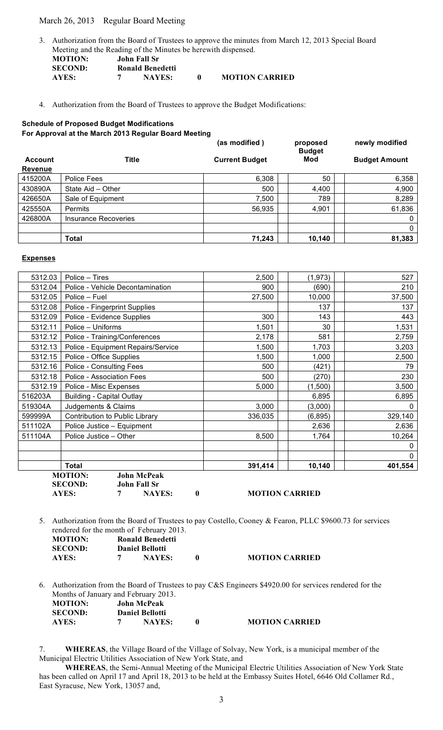## March 26, 2013 Regular Board Meeting

3. Authorization from the Board of Trustees to approve the minutes from March 12, 2013 Special Board Meeting and the Reading of the Minutes be herewith dispensed. **MOTION: John Fall Sr**

| MUTIUN:        | John Fall Sr            |                       |
|----------------|-------------------------|-----------------------|
| <b>SECOND:</b> | <b>Ronald Benedetti</b> |                       |
| AYES:          | <b>NAYES:</b>           | <b>MOTION CARRIED</b> |

4. Authorization from the Board of Trustees to approve the Budget Modifications:

# **Schedule of Proposed Budget Modifications For Approval at the March 2013 Regular Board Meeting**

|                |                             | (as modified)         | proposed<br><b>Budget</b> | newly modified       |
|----------------|-----------------------------|-----------------------|---------------------------|----------------------|
| <b>Account</b> | Title                       | <b>Current Budget</b> | Mod                       | <b>Budget Amount</b> |
| <b>Revenue</b> |                             |                       |                           |                      |
| 415200A        | Police Fees                 | 6,308                 | 50                        | 6,358                |
| 430890A        | State Aid - Other           | 500                   | 4,400                     | 4,900                |
| 426650A        | Sale of Equipment           | 7,500                 | 789                       | 8,289                |
| 425550A        | <b>Permits</b>              | 56,935                | 4,901                     | 61,836               |
| 426800A        | <b>Insurance Recoveries</b> |                       |                           | 0                    |
|                |                             |                       |                           | 0                    |
|                | <b>Total</b>                | 71,243                | 10,140                    | 81,383               |

#### **Expenses**

|         | <b>MOTION:</b><br><b>John McPeak</b><br><b>John Fall Sr</b><br><b>SECOND:</b> |         |          |              |
|---------|-------------------------------------------------------------------------------|---------|----------|--------------|
|         | <b>Total</b>                                                                  | 391,414 | 10,140   | 401,554      |
|         |                                                                               |         |          | $\mathbf{0}$ |
|         |                                                                               |         |          | 0            |
| 511104A | Police Justice - Other                                                        | 8,500   | 1,764    | 10,264       |
| 511102A | Police Justice - Equipment                                                    |         | 2,636    | 2,636        |
| 599999A | Contribution to Public Library                                                | 336,035 | (6, 895) | 329,140      |
| 519304A | Judgements & Claims                                                           | 3,000   | (3,000)  | 0            |
| 516203A | <b>Building - Capital Outlay</b>                                              |         | 6,895    | 6,895        |
| 5312.19 | Police - Misc Expenses                                                        | 5,000   | (1,500)  | 3,500        |
| 5312.18 | Police - Association Fees                                                     | 500     | (270)    | 230          |
| 5312.16 | Police - Consulting Fees                                                      | 500     | (421)    | 79           |
| 5312.15 | Police - Office Supplies                                                      | 1,500   | 1,000    | 2,500        |
| 5312.13 | Police - Equipment Repairs/Service                                            | 1,500   | 1,703    | 3,203        |
| 5312.12 | Police - Training/Conferences                                                 | 2,178   | 581      | 2,759        |
| 5312.11 | Police - Uniforms                                                             | 1,501   | 30       | 1,531        |
| 5312.09 | Police - Evidence Supplies                                                    | 300     | 143      | 443          |
| 5312.08 | Police - Fingerprint Supplies                                                 |         | 137      | 137          |
| 5312.05 | Police - Fuel                                                                 | 27,500  | 10,000   | 37,500       |
| 5312.04 | Police - Vehicle Decontamination                                              | 900     | (690)    | 210          |
| 5312.03 | Police – Tires                                                                | 2,500   | (1, 973) | 527          |

| <b>MOTION CARRIED</b><br><b>AYES:</b><br><b>NAYES:</b> |  |
|--------------------------------------------------------|--|
|--------------------------------------------------------|--|

5. Authorization from the Board of Trustees to pay Costello, Cooney & Fearon, PLLC \$9600.73 for services rendered for the month of February 2013. **MOTION: Ronald Benedetti SECOND: Daniel Bellotti**

|       | ---------------- |                       |
|-------|------------------|-----------------------|
| AYES: | <b>NAYES:</b>    | <b>MOTION CARRIED</b> |

6. Authorization from the Board of Trustees to pay C&S Engineers \$4920.00 for services rendered for the Months of January and February 2013. **MOTION: John McPeak SECOND: Daniel Bellotti**

| SECOND: | <b>Daniel Bellotti</b> |                       |  |  |
|---------|------------------------|-----------------------|--|--|
| AYES:   | <b>NAYES:</b>          | <b>MOTION CARRIED</b> |  |  |
|         |                        |                       |  |  |

7. **WHEREAS**, the Village Board of the Village of Solvay, New York, is a municipal member of the Municipal Electric Utilities Association of New York State, and

**WHEREAS**, the Semi-Annual Meeting of the Municipal Electric Utilities Association of New York State has been called on April 17 and April 18, 2013 to be held at the Embassy Suites Hotel, 6646 Old Collamer Rd., East Syracuse, New York, 13057 and,